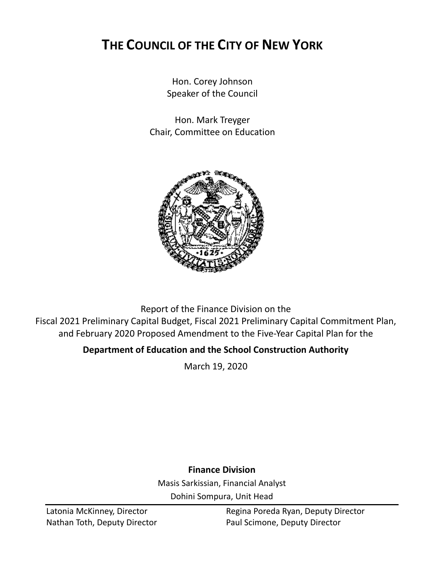# **THE COUNCIL OF THE CITY OF NEW YORK**

Hon. Corey Johnson Speaker of the Council

Hon. Mark Treyger Chair, Committee on Education



Report of the Finance Division on the Fiscal 2021 Preliminary Capital Budget, Fiscal 2021 Preliminary Capital Commitment Plan, and February 2020 Proposed Amendment to the Five-Year Capital Plan for the

# **Department of Education and the School Construction Authority**

March 19, 2020

# **Finance Division**

Masis Sarkissian, Financial Analyst Dohini Sompura, Unit Head

Latonia McKinney, Director **Regina Poreda Ryan, Deputy Director** Nathan Toth, Deputy Director **Paul Scimone, Deputy Director**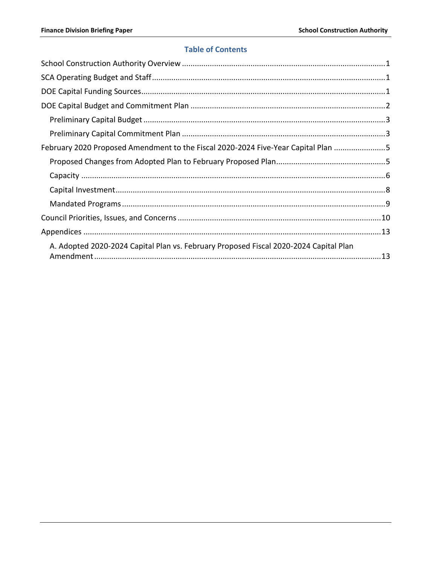## **Table of Contents**

| February 2020 Proposed Amendment to the Fiscal 2020-2024 Five-Year Capital Plan 5     |  |
|---------------------------------------------------------------------------------------|--|
|                                                                                       |  |
|                                                                                       |  |
|                                                                                       |  |
|                                                                                       |  |
|                                                                                       |  |
|                                                                                       |  |
| A. Adopted 2020-2024 Capital Plan vs. February Proposed Fiscal 2020-2024 Capital Plan |  |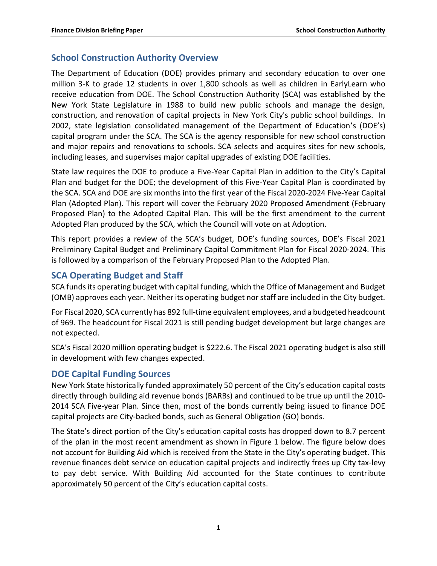# <span id="page-2-0"></span>**School Construction Authority Overview**

The Department of Education (DOE) provides primary and secondary education to over one million 3-K to grade 12 students in over 1,800 schools as well as children in EarlyLearn who receive education from DOE. The School Construction Authority (SCA) was established by the New York State Legislature in 1988 to build new public schools and manage the design, construction, and renovation of capital projects in New York City's public school buildings. In 2002, state legislation consolidated management of the Department of Education's (DOE's) capital program under the SCA. The SCA is the agency responsible for new school construction and major repairs and renovations to schools. SCA selects and acquires sites for new schools, including leases, and supervises major capital upgrades of existing DOE facilities.

State law requires the DOE to produce a Five-Year Capital Plan in addition to the City's Capital Plan and budget for the DOE; the development of this Five-Year Capital Plan is coordinated by the SCA. SCA and DOE are six months into the first year of the Fiscal 2020-2024 Five-Year Capital Plan (Adopted Plan). This report will cover the February 2020 Proposed Amendment (February Proposed Plan) to the Adopted Capital Plan. This will be the first amendment to the current Adopted Plan produced by the SCA, which the Council will vote on at Adoption.

This report provides a review of the SCA's budget, DOE's funding sources, DOE's Fiscal 2021 Preliminary Capital Budget and Preliminary Capital Commitment Plan for Fiscal 2020-2024. This is followed by a comparison of the February Proposed Plan to the Adopted Plan.

# <span id="page-2-1"></span>**SCA Operating Budget and Staff**

SCA funds its operating budget with capital funding, which the Office of Management and Budget (OMB) approves each year. Neither its operating budget nor staff are included in the City budget.

For Fiscal 2020, SCA currently has 892 full-time equivalent employees, and a budgeted headcount of 969. The headcount for Fiscal 2021 is still pending budget development but large changes are not expected.

SCA's Fiscal 2020 million operating budget is \$222.6. The Fiscal 2021 operating budget is also still in development with few changes expected.

# <span id="page-2-2"></span>**DOE Capital Funding Sources**

New York State historically funded approximately 50 percent of the City's education capital costs directly through building aid revenue bonds (BARBs) and continued to be true up until the 2010- 2014 SCA Five-year Plan. Since then, most of the bonds currently being issued to finance DOE capital projects are City-backed bonds, such as General Obligation (GO) bonds.

The State's direct portion of the City's education capital costs has dropped down to 8.7 percent of the plan in the most recent amendment as shown in Figure 1 below. The figure below does not account for Building Aid which is received from the State in the City's operating budget. This revenue finances debt service on education capital projects and indirectly frees up City tax-levy to pay debt service. With Building Aid accounted for the State continues to contribute approximately 50 percent of the City's education capital costs.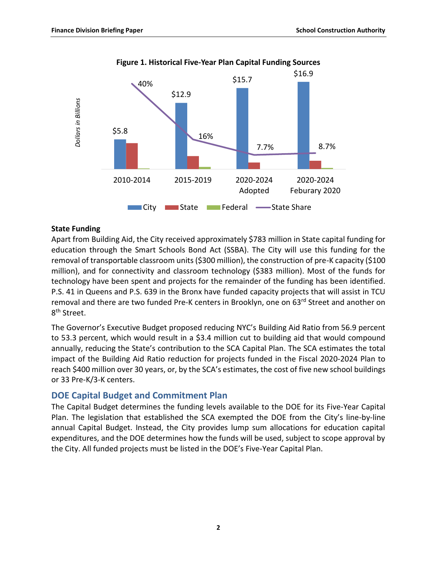

#### **Figure 1. Historical Five-Year Plan Capital Funding Sources**

#### **State Funding**

Apart from Building Aid, the City received approximately \$783 million in State capital funding for education through the Smart Schools Bond Act (SSBA). The City will use this funding for the removal of transportable classroom units (\$300 million), the construction of pre-K capacity (\$100 million), and for connectivity and classroom technology (\$383 million). Most of the funds for technology have been spent and projects for the remainder of the funding has been identified. P.S. 41 in Queens and P.S. 639 in the Bronx have funded capacity projects that will assist in TCU removal and there are two funded Pre-K centers in Brooklyn, one on 63rd Street and another on 8<sup>th</sup> Street.

The Governor's Executive Budget proposed reducing NYC's Building Aid Ratio from 56.9 percent to 53.3 percent, which would result in a \$3.4 million cut to building aid that would compound annually, reducing the State's contribution to the SCA Capital Plan. The SCA estimates the total impact of the Building Aid Ratio reduction for projects funded in the Fiscal 2020-2024 Plan to reach \$400 million over 30 years, or, by the SCA's estimates, the cost of five new school buildings or 33 Pre-K/3-K centers.

# <span id="page-3-0"></span>**DOE Capital Budget and Commitment Plan**

The Capital Budget determines the funding levels available to the DOE for its Five-Year Capital Plan. The legislation that established the SCA exempted the DOE from the City's line-by-line annual Capital Budget. Instead, the City provides lump sum allocations for education capital expenditures, and the DOE determines how the funds will be used, subject to scope approval by the City. All funded projects must be listed in the DOE's Five-Year Capital Plan.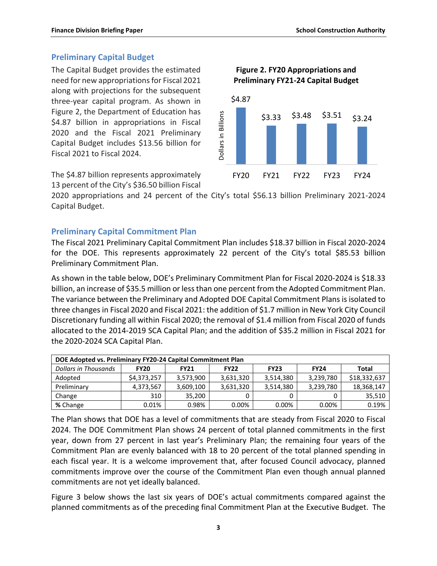#### <span id="page-4-0"></span>**Preliminary Capital Budget**

The Capital Budget provides the estimated need for new appropriations for Fiscal 2021 along with projections for the subsequent three-year capital program. As shown in Figure 2, the Department of Education has \$4.87 billion in appropriations in Fiscal 2020 and the Fiscal 2021 Preliminary Capital Budget includes \$13.56 billion for Fiscal 2021 to Fiscal 2024.

The \$4.87 billion represents approximately 13 percent of the City's \$36.50 billion Fiscal



**Figure 2. FY20 Appropriations and** 

2020 appropriations and 24 percent of the City's total \$56.13 billion Preliminary 2021-2024 Capital Budget.

#### <span id="page-4-1"></span>**Preliminary Capital Commitment Plan**

The Fiscal 2021 Preliminary Capital Commitment Plan includes \$18.37 billion in Fiscal 2020-2024 for the DOE. This represents approximately 22 percent of the City's total \$85.53 billion Preliminary Commitment Plan.

As shown in the table below, DOE's Preliminary Commitment Plan for Fiscal 2020-2024 is \$18.33 billion, an increase of \$35.5 million or less than one percent from the Adopted Commitment Plan. The variance between the Preliminary and Adopted DOE Capital Commitment Plans is isolated to three changes in Fiscal 2020 and Fiscal 2021: the addition of \$1.7 million in New York City Council Discretionary funding all within Fiscal 2020; the removal of \$1.4 million from Fiscal 2020 of funds allocated to the 2014-2019 SCA Capital Plan; and the addition of \$35.2 million in Fiscal 2021 for the 2020-2024 SCA Capital Plan.

| DOE Adopted vs. Preliminary FY20-24 Capital Commitment Plan |             |             |             |             |             |              |  |
|-------------------------------------------------------------|-------------|-------------|-------------|-------------|-------------|--------------|--|
| Dollars in Thousands                                        | <b>FY20</b> | <b>FY21</b> | <b>FY22</b> | <b>FY23</b> | <b>FY24</b> | Total        |  |
| Adopted                                                     | \$4,373,257 | 3,573,900   | 3,631,320   | 3,514,380   | 3,239,780   | \$18,332,637 |  |
| Preliminary                                                 | 4,373,567   | 3,609,100   | 3,631,320   | 3,514,380   | 3,239,780   | 18,368,147   |  |
| Change                                                      | 310         | 35.200      |             |             |             | 35,510       |  |
| % Change                                                    | 0.01%       | 0.98%       | 0.00%       | 0.00%       | $0.00\%$    | 0.19%        |  |

The Plan shows that DOE has a level of commitments that are steady from Fiscal 2020 to Fiscal 2024. The DOE Commitment Plan shows 24 percent of total planned commitments in the first year, down from 27 percent in last year's Preliminary Plan; the remaining four years of the Commitment Plan are evenly balanced with 18 to 20 percent of the total planned spending in each fiscal year. It is a welcome improvement that, after focused Council advocacy, planned commitments improve over the course of the Commitment Plan even though annual planned commitments are not yet ideally balanced.

Figure 3 below shows the last six years of DOE's actual commitments compared against the planned commitments as of the preceding final Commitment Plan at the Executive Budget. The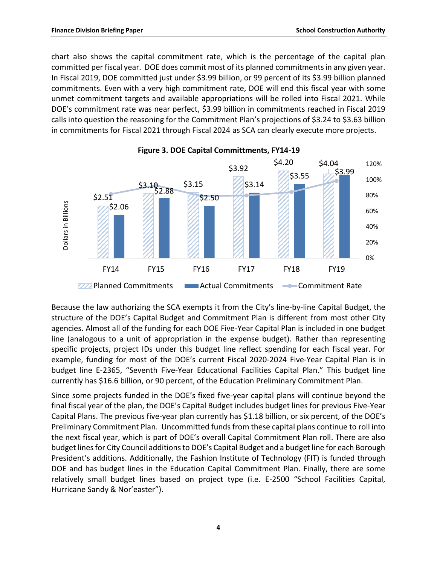chart also shows the capital commitment rate, which is the percentage of the capital plan committed per fiscal year. DOE does commit most of its planned commitments in any given year. In Fiscal 2019, DOE committed just under \$3.99 billion, or 99 percent of its \$3.99 billion planned commitments. Even with a very high commitment rate, DOE will end this fiscal year with some unmet commitment targets and available appropriations will be rolled into Fiscal 2021. While DOE's commitment rate was near perfect, \$3.99 billion in commitments reached in Fiscal 2019 calls into question the reasoning for the Commitment Plan's projections of \$3.24 to \$3.63 billion in commitments for Fiscal 2021 through Fiscal 2024 as SCA can clearly execute more projects.





Because the law authorizing the SCA exempts it from the City's line-by-line Capital Budget, the structure of the DOE's Capital Budget and Commitment Plan is different from most other City agencies. Almost all of the funding for each DOE Five-Year Capital Plan is included in one budget line (analogous to a unit of appropriation in the expense budget). Rather than representing specific projects, project IDs under this budget line reflect spending for each fiscal year. For example, funding for most of the DOE's current Fiscal 2020-2024 Five-Year Capital Plan is in budget line E-2365, "Seventh Five-Year Educational Facilities Capital Plan." This budget line currently has \$16.6 billion, or 90 percent, of the Education Preliminary Commitment Plan.

Since some projects funded in the DOE's fixed five-year capital plans will continue beyond the final fiscal year of the plan, the DOE's Capital Budget includes budget lines for previous Five-Year Capital Plans. The previous five-year plan currently has \$1.18 billion, or six percent, of the DOE's Preliminary Commitment Plan. Uncommitted funds from these capital plans continue to roll into the next fiscal year, which is part of DOE's overall Capital Commitment Plan roll. There are also budget lines for City Council additions to DOE's Capital Budget and a budget line for each Borough President's additions. Additionally, the Fashion Institute of Technology (FIT) is funded through DOE and has budget lines in the Education Capital Commitment Plan. Finally, there are some relatively small budget lines based on project type (i.e. E-2500 "School Facilities Capital, Hurricane Sandy & Nor'easter").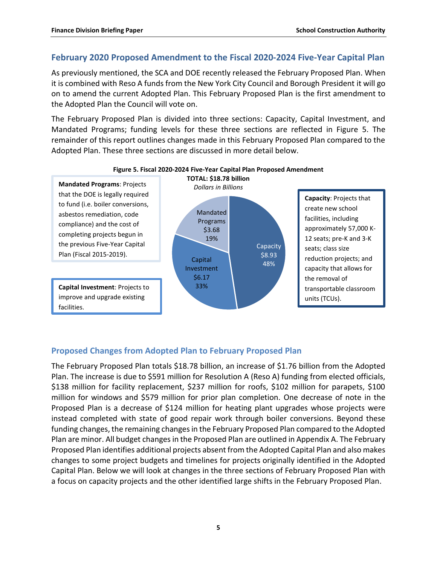### <span id="page-6-0"></span>**February 2020 Proposed Amendment to the Fiscal 2020-2024 Five-Year Capital Plan**

As previously mentioned, the SCA and DOE recently released the February Proposed Plan. When it is combined with Reso A funds from the New York City Council and Borough President it will go on to amend the current Adopted Plan. This February Proposed Plan is the first amendment to the Adopted Plan the Council will vote on.

The February Proposed Plan is divided into three sections: Capacity, Capital Investment, and Mandated Programs; funding levels for these three sections are reflected in Figure 5. The remainder of this report outlines changes made in this February Proposed Plan compared to the Adopted Plan. These three sections are discussed in more detail below.



#### **Figure 5. Fiscal 2020-2024 Five-Year Capital Plan Proposed Amendment**

### <span id="page-6-1"></span>**Proposed Changes from Adopted Plan to February Proposed Plan**

The February Proposed Plan totals \$18.78 billion, an increase of \$1.76 billion from the Adopted Plan. The increase is due to \$591 million for Resolution A (Reso A) funding from elected officials, \$138 million for facility replacement, \$237 million for roofs, \$102 million for parapets, \$100 million for windows and \$579 million for prior plan completion. One decrease of note in the Proposed Plan is a decrease of \$124 million for heating plant upgrades whose projects were instead completed with state of good repair work through boiler conversions. Beyond these funding changes, the remaining changes in the February Proposed Plan compared to the Adopted Plan are minor. All budget changes in the Proposed Plan are outlined in Appendix A. The February Proposed Plan identifies additional projects absent from the Adopted Capital Plan and also makes changes to some project budgets and timelines for projects originally identified in the Adopted Capital Plan. Below we will look at changes in the three sections of February Proposed Plan with a focus on capacity projects and the other identified large shifts in the February Proposed Plan.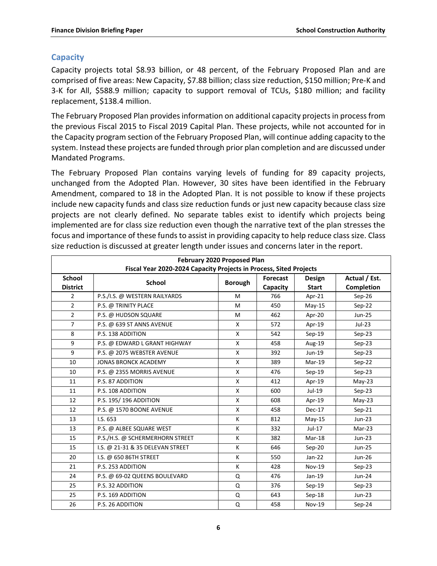# <span id="page-7-0"></span>**Capacity**

Capacity projects total \$8.93 billion, or 48 percent, of the February Proposed Plan and are comprised of five areas: New Capacity, \$7.88 billion; class size reduction, \$150 million; Pre-K and 3-K for All, \$588.9 million; capacity to support removal of TCUs, \$180 million; and facility replacement, \$138.4 million.

The February Proposed Plan provides information on additional capacity projects in process from the previous Fiscal 2015 to Fiscal 2019 Capital Plan. These projects, while not accounted for in the Capacity program section of the February Proposed Plan, will continue adding capacity to the system. Instead these projects are funded through prior plan completion and are discussed under Mandated Programs.

The February Proposed Plan contains varying levels of funding for 89 capacity projects, unchanged from the Adopted Plan. However, 30 sites have been identified in the February Amendment, compared to 18 in the Adopted Plan. It is not possible to know if these projects include new capacity funds and class size reduction funds or just new capacity because class size projects are not clearly defined. No separate tables exist to identify which projects being implemented are for class size reduction even though the narrative text of the plan stresses the focus and importance of these funds to assist in providing capacity to help reduce class size. Class size reduction is discussed at greater length under issues and concerns later in the report.

| February 2020 Proposed Plan<br>Fiscal Year 2020-2024 Capacity Projects in Process, Sited Projects |                                  |                |                             |                               |                                    |  |
|---------------------------------------------------------------------------------------------------|----------------------------------|----------------|-----------------------------|-------------------------------|------------------------------------|--|
| <b>School</b><br><b>District</b>                                                                  | <b>School</b>                    | <b>Borough</b> | <b>Forecast</b><br>Capacity | <b>Design</b><br><b>Start</b> | Actual / Est.<br><b>Completion</b> |  |
| $\overline{2}$                                                                                    | P.S./I.S. @ WESTERN RAILYARDS    | M              | 766                         | Apr-21                        | $Sep-26$                           |  |
| $\overline{2}$                                                                                    | P.S. @ TRINITY PLACE             | M              | 450                         | $May-15$                      | $Sep-22$                           |  |
| $\overline{2}$                                                                                    | P.S. @ HUDSON SQUARE             | M              | 462                         | Apr-20                        | Jun-25                             |  |
| $\overline{7}$                                                                                    | P.S. @ 639 ST ANNS AVENUE        | X              | 572                         | Apr-19                        | $Jul-23$                           |  |
| 8                                                                                                 | P.S. 138 ADDITION                | X              | 542                         | $Sep-19$                      | $Sep-23$                           |  |
| 9                                                                                                 | P.S. @ EDWARD L GRANT HIGHWAY    | $\mathsf{X}$   | 458                         | Aug-19                        | $Sep-23$                           |  |
| 9                                                                                                 | P.S. @ 2075 WEBSTER AVENUE       | X              | 392                         | Jun-19                        | $Sep-23$                           |  |
| 10                                                                                                | <b>JONAS BRONCK ACADEMY</b>      | $\mathsf{X}$   | 389                         | $Mar-19$                      | $Sep-22$                           |  |
| 10                                                                                                | P.S. @ 2355 MORRIS AVENUE        | X              | 476                         | $Sep-19$                      | $Sep-23$                           |  |
| 11                                                                                                | P.S. 87 ADDITION                 | $\mathsf{X}$   | 412                         | Apr-19                        | $May-23$                           |  |
| 11                                                                                                | P.S. 108 ADDITION                | $\mathsf{X}$   | 600                         | Jul-19                        | $Sep-23$                           |  |
| 12                                                                                                | P.S. 195/196 ADDITION            | $\mathsf{X}$   | 608                         | Apr-19                        | $May-23$                           |  |
| 12                                                                                                | P.S. @ 1570 BOONE AVENUE         | X              | 458                         | $Dec-17$                      | $Sep-21$                           |  |
| 13                                                                                                | I.S. 653                         | K              | 812                         | $May-15$                      | $Jun-23$                           |  |
| 13                                                                                                | P.S. @ ALBEE SQUARE WEST         | K              | 332                         | Jul-17                        | $Mar-23$                           |  |
| 15                                                                                                | P.S./H.S. @ SCHERMERHORN STREET  | K              | 382                         | $Mar-18$                      | $Jun-23$                           |  |
| 15                                                                                                | I.S. @ 21-31 & 35 DELEVAN STREET | K              | 646                         | Sep-20                        | <b>Jun-25</b>                      |  |
| 20                                                                                                | I.S. @ 650 86TH STREET           | K              | 550                         | $Jan-22$                      | <b>Jun-26</b>                      |  |
| 21                                                                                                | P.S. 253 ADDITION                | K              | 428                         | $Nov-19$                      | $Sep-23$                           |  |
| 24                                                                                                | P.S. @ 69-02 QUEENS BOULEVARD    | Q              | 476                         | $Jan-19$                      | Jun-24                             |  |
| 25                                                                                                | P.S. 32 ADDITION                 | Q              | 376                         | $Sep-19$                      | $Sep-23$                           |  |
| 25                                                                                                | P.S. 169 ADDITION                | Q              | 643                         | $Sep-18$                      | $Jun-23$                           |  |
| 26                                                                                                | P.S. 26 ADDITION                 | Q              | 458                         | $Nov-19$                      | $Sep-24$                           |  |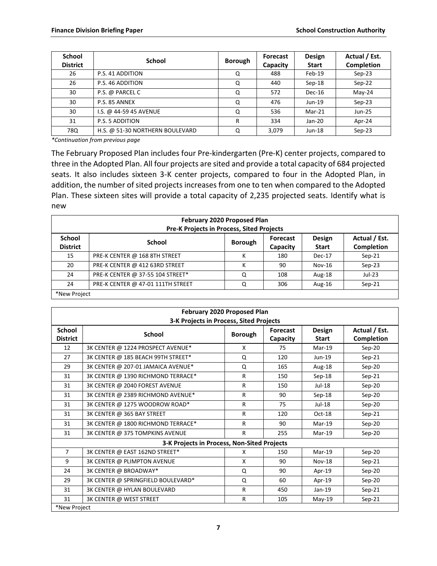| <b>School</b><br><b>District</b> | School                          | <b>Borough</b> | Forecast<br>Capacity | <b>Design</b><br><b>Start</b> | Actual / Est.<br>Completion |
|----------------------------------|---------------------------------|----------------|----------------------|-------------------------------|-----------------------------|
| 26                               | P.S. 41 ADDITION                | Q              | 488                  | Feb-19                        | $Sep-23$                    |
| 26                               | P.S. 46 ADDITION                | Q              | 440                  | $Sep-18$                      | Sep-22                      |
| 30                               | P.S. @ PARCEL C                 | Q              | 572                  | $Dec-16$                      | $Mav-24$                    |
| 30                               | P.S. 85 ANNEX                   | Q              | 476                  | $Jun-19$                      | $Sep-23$                    |
| 30                               | I.S. @ 44-59 45 AVENUE          | Q              | 536                  | Mar-21                        | <b>Jun-25</b>               |
| 31                               | P.S. 5 ADDITION                 | R              | 334                  | $Jan-20$                      | Apr-24                      |
| 78Q                              | H.S. @ 51-30 NORTHERN BOULEVARD | Q              | 3,079                | $Jun-18$                      | $Sep-23$                    |

*\*Continuation from previous page*

The February Proposed Plan includes four Pre-kindergarten (Pre-K) center projects, compared to three in the Adopted Plan. All four projects are sited and provide a total capacity of 684 projected seats. It also includes sixteen 3-K center projects, compared to four in the Adopted Plan, in addition, the number of sited projects increases from one to ten when compared to the Adopted Plan. These sixteen sites will provide a total capacity of 2,235 projected seats. Identify what is new

| February 2020 Proposed Plan<br>Pre-K Projects in Process, Sited Projects                                                                             |                                                                        |   |     |           |          |  |  |
|------------------------------------------------------------------------------------------------------------------------------------------------------|------------------------------------------------------------------------|---|-----|-----------|----------|--|--|
| Actual / Est.<br><b>School</b><br><b>Design</b><br>Forecast<br>School<br><b>Borough</b><br>Completion<br><b>District</b><br><b>Start</b><br>Capacity |                                                                        |   |     |           |          |  |  |
| 15                                                                                                                                                   | PRE-K CENTER @ 168 8TH STREET                                          | к | 180 | $Dec-17$  | $Sep-21$ |  |  |
| 20                                                                                                                                                   | PRE-K CENTER @ 412 63RD STREET                                         | к | 90  | $Nov-16$  | $Sep-23$ |  |  |
| 24                                                                                                                                                   | PRE-K CENTER @ 37-55 104 STREET*                                       | Q | 108 | Aug- $18$ | $Jul-23$ |  |  |
| 24                                                                                                                                                   | PRE-K CENTER @ 47-01 111TH STREET<br>306<br>$Sep-21$<br>Aug- $16$<br>Q |   |     |           |          |  |  |
|                                                                                                                                                      | *New Project                                                           |   |     |           |          |  |  |

| <b>February 2020 Proposed Plan</b><br>3-K Projects in Process, Sited Projects |                                             |                |                             |                               |                             |  |
|-------------------------------------------------------------------------------|---------------------------------------------|----------------|-----------------------------|-------------------------------|-----------------------------|--|
| <b>School</b><br><b>District</b>                                              | <b>School</b>                               | <b>Borough</b> | <b>Forecast</b><br>Capacity | <b>Design</b><br><b>Start</b> | Actual / Est.<br>Completion |  |
| 12                                                                            | 3K CENTER @ 1224 PROSPECT AVENUE*           | X              | 75                          | $Mar-19$                      | Sep-20                      |  |
| 27                                                                            | 3K CENTER @ 185 BEACH 99TH STREET*          | Q              | 120                         | Jun-19                        | $Sep-21$                    |  |
| 29                                                                            | 3K CENTER @ 207-01 JAMAICA AVENUE*          | Q              | 165                         | Aug-18                        | $Sep-20$                    |  |
| 31                                                                            | 3K CENTER @ 1390 RICHMOND TERRACE*          | R              | 150                         | $Sep-18$                      | $Sep-21$                    |  |
| 31                                                                            | 3K CENTER @ 2040 FOREST AVENUE              | R              | 150                         | $Jul-18$                      | Sep-20                      |  |
| 31                                                                            | 3K CENTER @ 2389 RICHMOND AVENUE*           | $\mathsf{R}$   | 90                          | $Sep-18$                      | $Sep-20$                    |  |
| 31                                                                            | 3K CENTER @ 1275 WOODROW ROAD*              | R              | 75                          | $Jul-18$                      | Sep-20                      |  |
| 31                                                                            | 3K CENTER @ 365 BAY STREET                  | R              | 120                         | Oct-18                        | $Sep-21$                    |  |
| 31                                                                            | 3K CENTER @ 1800 RICHMOND TERRACE*          | R              | 90                          | $Mar-19$                      | Sep-20                      |  |
| 31                                                                            | 3K CENTER @ 375 TOMPKINS AVENUE             | R              | 255                         | $Mar-19$                      | $Sep-20$                    |  |
|                                                                               | 3-K Projects in Process, Non-Sited Projects |                |                             |                               |                             |  |
| $\overline{7}$                                                                | 3K CENTER @ EAST 162ND STREET*              | x              | 150                         | $Mar-19$                      | $Sep-20$                    |  |
| 9                                                                             | 3K CENTER @ PLIMPTON AVENUE                 | X              | 90                          | <b>Nov-18</b>                 | $Sep-21$                    |  |
| 24                                                                            | 3K CENTER @ BROADWAY*                       | Q              | 90                          | Apr-19                        | Sep-20                      |  |
| 29                                                                            | 3K CENTER @ SPRINGFIELD BOULEVARD*          | Q              | 60                          | Apr-19                        | $Sep-20$                    |  |
| 31                                                                            | 3K CENTER @ HYLAN BOULEVARD                 | R              | 450                         | $Jan-19$                      | $Sep-21$                    |  |
| 31                                                                            | 3K CENTER @ WEST STREET                     | R              | 105                         | $May-19$                      | $Sep-21$                    |  |
| *New Project                                                                  |                                             |                |                             |                               |                             |  |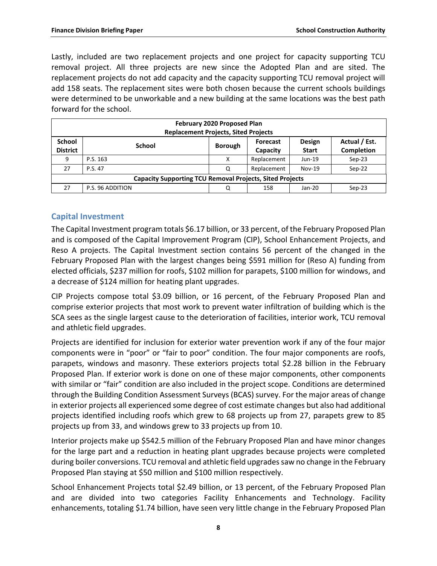Lastly, included are two replacement projects and one project for capacity supporting TCU removal project. All three projects are new since the Adopted Plan and are sited. The replacement projects do not add capacity and the capacity supporting TCU removal project will add 158 seats. The replacement sites were both chosen because the current schools buildings were determined to be unworkable and a new building at the same locations was the best path forward for the school.

| February 2020 Proposed Plan<br><b>Replacement Projects, Sited Projects</b> |                                                                                                                         |   |             |          |          |  |  |  |
|----------------------------------------------------------------------------|-------------------------------------------------------------------------------------------------------------------------|---|-------------|----------|----------|--|--|--|
| <b>School</b><br><b>District</b>                                           | Actual / Est.<br><b>Design</b><br>Forecast<br><b>School</b><br><b>Borough</b><br>Completion<br><b>Start</b><br>Capacity |   |             |          |          |  |  |  |
| 9                                                                          | P.S. 163                                                                                                                | Χ | Replacement | $Jun-19$ | $Sep-23$ |  |  |  |
| 27                                                                         | P.S. 47                                                                                                                 | Q | Replacement | $Nov-19$ | Sep-22   |  |  |  |
| <b>Capacity Supporting TCU Removal Projects, Sited Projects</b>            |                                                                                                                         |   |             |          |          |  |  |  |
| 27                                                                         | P.S. 96 ADDITION                                                                                                        | Q | 158         | Jan-20   | $Sep-23$ |  |  |  |

## <span id="page-9-0"></span>**Capital Investment**

The Capital Investment program totals \$6.17 billion, or 33 percent, of the February Proposed Plan and is composed of the Capital Improvement Program (CIP), School Enhancement Projects, and Reso A projects. The Capital Investment section contains 56 percent of the changed in the February Proposed Plan with the largest changes being \$591 million for (Reso A) funding from elected officials, \$237 million for roofs, \$102 million for parapets, \$100 million for windows, and a decrease of \$124 million for heating plant upgrades.

CIP Projects compose total \$3.09 billion, or 16 percent, of the February Proposed Plan and comprise exterior projects that most work to prevent water infiltration of building which is the SCA sees as the single largest cause to the deterioration of facilities, interior work, TCU removal and athletic field upgrades.

Projects are identified for inclusion for exterior water prevention work if any of the four major components were in "poor" or "fair to poor" condition. The four major components are roofs, parapets, windows and masonry. These exteriors projects total \$2.28 billion in the February Proposed Plan. If exterior work is done on one of these major components, other components with similar or "fair" condition are also included in the project scope. Conditions are determined through the Building Condition Assessment Surveys (BCAS) survey. For the major areas of change in exterior projects all experienced some degree of cost estimate changes but also had additional projects identified including roofs which grew to 68 projects up from 27, parapets grew to 85 projects up from 33, and windows grew to 33 projects up from 10.

Interior projects make up \$542.5 million of the February Proposed Plan and have minor changes for the large part and a reduction in heating plant upgrades because projects were completed during boiler conversions. TCU removal and athletic field upgrades saw no change in the February Proposed Plan staying at \$50 million and \$100 million respectively.

School Enhancement Projects total \$2.49 billion, or 13 percent, of the February Proposed Plan and are divided into two categories Facility Enhancements and Technology. Facility enhancements, totaling \$1.74 billion, have seen very little change in the February Proposed Plan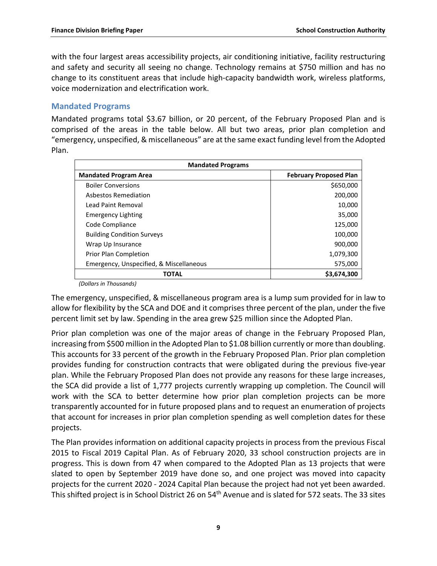with the four largest areas accessibility projects, air conditioning initiative, facility restructuring and safety and security all seeing no change. Technology remains at \$750 million and has no change to its constituent areas that include high-capacity bandwidth work, wireless platforms, voice modernization and electrification work.

#### <span id="page-10-0"></span>**Mandated Programs**

Mandated programs total \$3.67 billion, or 20 percent, of the February Proposed Plan and is comprised of the areas in the table below. All but two areas, prior plan completion and "emergency, unspecified, & miscellaneous" are at the same exact funding level from the Adopted Plan.

| <b>Mandated Programs</b>                |                               |  |  |  |
|-----------------------------------------|-------------------------------|--|--|--|
| <b>Mandated Program Area</b>            | <b>February Proposed Plan</b> |  |  |  |
| <b>Boiler Conversions</b>               | \$650,000                     |  |  |  |
| Asbestos Remediation                    | 200,000                       |  |  |  |
| Lead Paint Removal                      | 10,000                        |  |  |  |
| <b>Emergency Lighting</b>               | 35,000                        |  |  |  |
| Code Compliance                         | 125,000                       |  |  |  |
| <b>Building Condition Surveys</b>       | 100,000                       |  |  |  |
| Wrap Up Insurance                       | 900,000                       |  |  |  |
| Prior Plan Completion                   | 1,079,300                     |  |  |  |
| Emergency, Unspecified, & Miscellaneous | 575,000                       |  |  |  |
| TOTAL                                   | \$3,674,300                   |  |  |  |

*(Dollars in Thousands)*

The emergency, unspecified, & miscellaneous program area is a lump sum provided for in law to allow for flexibility by the SCA and DOE and it comprises three percent of the plan, under the five percent limit set by law. Spending in the area grew \$25 million since the Adopted Plan.

Prior plan completion was one of the major areas of change in the February Proposed Plan, increasing from \$500 million in the Adopted Plan to \$1.08 billion currently or more than doubling. This accounts for 33 percent of the growth in the February Proposed Plan. Prior plan completion provides funding for construction contracts that were obligated during the previous five-year plan. While the February Proposed Plan does not provide any reasons for these large increases, the SCA did provide a list of 1,777 projects currently wrapping up completion. The Council will work with the SCA to better determine how prior plan completion projects can be more transparently accounted for in future proposed plans and to request an enumeration of projects that account for increases in prior plan completion spending as well completion dates for these projects.

The Plan provides information on additional capacity projects in process from the previous Fiscal 2015 to Fiscal 2019 Capital Plan. As of February 2020, 33 school construction projects are in progress. This is down from 47 when compared to the Adopted Plan as 13 projects that were slated to open by September 2019 have done so, and one project was moved into capacity projects for the current 2020 - 2024 Capital Plan because the project had not yet been awarded. This shifted project is in School District 26 on 54<sup>th</sup> Avenue and is slated for 572 seats. The 33 sites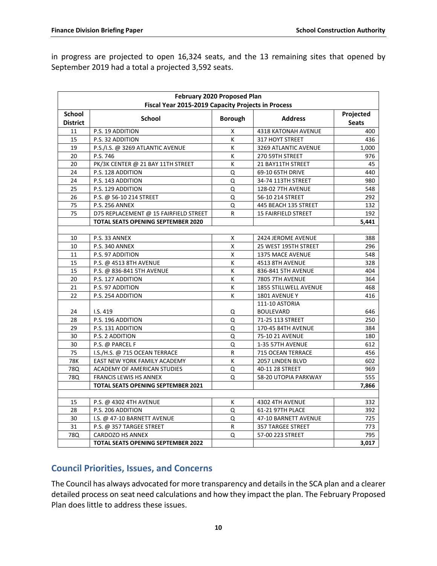in progress are projected to open 16,324 seats, and the 13 remaining sites that opened by September 2019 had a total a projected 3,592 seats.

| February 2020 Proposed Plan<br>Fiscal Year 2015-2019 Capacity Projects in Process |                                           |                         |                                    |                           |  |  |
|-----------------------------------------------------------------------------------|-------------------------------------------|-------------------------|------------------------------------|---------------------------|--|--|
| <b>School</b><br><b>District</b>                                                  | <b>School</b>                             | <b>Borough</b>          | <b>Address</b>                     | Projected<br><b>Seats</b> |  |  |
| 11                                                                                | P.S. 19 ADDITION                          | X                       | 4318 KATONAH AVENUE                | 400                       |  |  |
| 15                                                                                | P.S. 32 ADDITION                          | К                       | 317 HOYT STREET                    | 436                       |  |  |
| 19                                                                                | P.S./I.S. @ 3269 ATLANTIC AVENUE          | К                       | 3269 ATLANTIC AVENUE               | 1,000                     |  |  |
| 20                                                                                | P.S. 746                                  | K                       | 270 59TH STREET                    | 976                       |  |  |
| 20                                                                                | PK/3K CENTER @ 21 BAY 11TH STREET         | K                       | 21 BAY11TH STREET                  | 45                        |  |  |
| 24                                                                                | P.S. 128 ADDITION                         | Q                       | 69-10 65TH DRIVE                   | 440                       |  |  |
| 24                                                                                | P.S. 143 ADDITION                         | Q                       | 34-74 113TH STREET                 | 980                       |  |  |
| 25                                                                                | P.S. 129 ADDITION                         | Q                       | <b>128-02 7TH AVENUE</b>           | 548                       |  |  |
| 26                                                                                | P.S. @ 56-10 214 STREET                   | Q                       | 56-10 214 STREET                   | 292                       |  |  |
| 75                                                                                | <b>P.S. 256 ANNEX</b>                     | Q                       | 445 BEACH 135 STREET               | 132                       |  |  |
| 75                                                                                | D75 REPLACEMENT @ 15 FAIRFIELD STREET     | R                       | <b>15 FAIRFIELD STREET</b>         | 192                       |  |  |
|                                                                                   | <b>TOTAL SEATS OPENING SEPTEMBER 2020</b> |                         |                                    | 5,441                     |  |  |
|                                                                                   |                                           |                         |                                    |                           |  |  |
| 10                                                                                | P.S. 33 ANNEX                             | X                       | 2424 JEROME AVENUE                 | 388                       |  |  |
| 10                                                                                | P.S. 340 ANNEX                            | $\overline{\mathsf{x}}$ | 25 WEST 195TH STREET               | 296                       |  |  |
| 11                                                                                | P.S. 97 ADDITION                          | X                       | 1375 MACE AVENUE                   | 548                       |  |  |
| 15                                                                                | P.S. @ 4513 8TH AVENUE                    | К                       | 4513 8TH AVENUE                    | 328                       |  |  |
| 15                                                                                | P.S. @ 836-841 5TH AVENUE                 | К                       | 836-841 5TH AVENUE                 | 404                       |  |  |
| 20                                                                                | P.S. 127 ADDITION                         | К                       | 7805 7TH AVENUE                    | 364                       |  |  |
| 21                                                                                | P.S. 97 ADDITION                          | К                       | 1855 STILLWELL AVENUE              | 468                       |  |  |
| 22                                                                                | P.S. 254 ADDITION                         | K                       | 1801 AVENUE Y                      | 416                       |  |  |
| 24                                                                                | I.S. 419                                  | Q                       | 111-10 ASTORIA<br><b>BOULEVARD</b> | 646                       |  |  |
| 28                                                                                | P.S. 196 ADDITION                         | Q                       | 71-25 113 STREET                   | 250                       |  |  |
| 29                                                                                | P.S. 131 ADDITION                         | Q                       | 170-45 84TH AVENUE                 | 384                       |  |  |
| 30                                                                                | P.S. 2 ADDITION                           | Q                       | 75-10 21 AVENUE                    | 180                       |  |  |
| 30                                                                                | P.S. @ PARCEL F                           | Q                       | 1-35 57TH AVENUE                   | 612                       |  |  |
| 75                                                                                | I.S./H.S. @ 715 OCEAN TERRACE             | R                       | 715 OCEAN TERRACE                  | 456                       |  |  |
| <b>78K</b>                                                                        | EAST NEW YORK FAMILY ACADEMY              | K                       | 2057 LINDEN BLVD                   | 602                       |  |  |
| 78Q                                                                               | <b>ACADEMY OF AMERICAN STUDIES</b>        | Q                       | 40-11 28 STREET                    | 969                       |  |  |
| 78Q                                                                               | <b>FRANCIS LEWIS HS ANNEX</b>             | Q                       | 58-20 UTOPIA PARKWAY               | 555                       |  |  |
|                                                                                   | <b>TOTAL SEATS OPENING SEPTEMBER 2021</b> |                         |                                    | 7,866                     |  |  |
|                                                                                   |                                           |                         |                                    |                           |  |  |
| 15                                                                                | P.S. @ 4302 4TH AVENUE                    | Κ                       | 4302 4TH AVENUE                    | 332                       |  |  |
| 28                                                                                | P.S. 206 ADDITION                         | Q                       | 61-21 97TH PLACE                   | 392                       |  |  |
| 30                                                                                | I.S. @ 47-10 BARNETT AVENUE               | Q                       | 47-10 BARNETT AVENUE               | 725                       |  |  |
| 31                                                                                | P.S. @ 357 TARGEE STREET                  | R                       | <b>357 TARGEE STREET</b>           | 773                       |  |  |
| 78Q                                                                               | <b>CARDOZO HS ANNEX</b>                   | Q                       | 57-00 223 STREET                   | 795                       |  |  |
|                                                                                   | <b>TOTAL SEATS OPENING SEPTEMBER 2022</b> |                         |                                    | 3,017                     |  |  |

# <span id="page-11-0"></span>**Council Priorities, Issues, and Concerns**

The Council has always advocated for more transparency and details in the SCA plan and a clearer detailed process on seat need calculations and how they impact the plan. The February Proposed Plan does little to address these issues.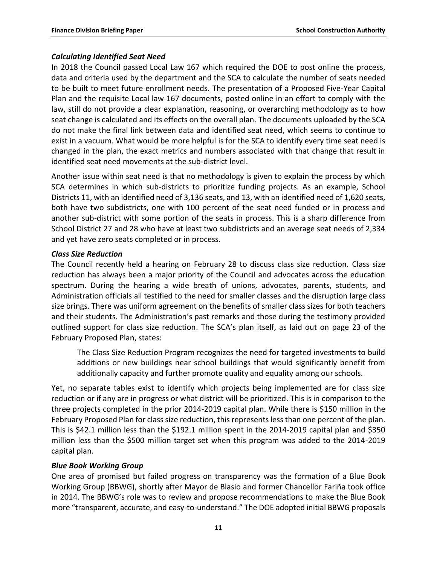#### *Calculating Identified Seat Need*

In 2018 the Council passed Local Law 167 which required the DOE to post online the process, data and criteria used by the department and the SCA to calculate the number of seats needed to be built to meet future enrollment needs. The presentation of a Proposed Five-Year Capital Plan and the requisite Local law 167 documents, posted online in an effort to comply with the law, still do not provide a clear explanation, reasoning, or overarching methodology as to how seat change is calculated and its effects on the overall plan. The documents uploaded by the SCA do not make the final link between data and identified seat need, which seems to continue to exist in a vacuum. What would be more helpful is for the SCA to identify every time seat need is changed in the plan, the exact metrics and numbers associated with that change that result in identified seat need movements at the sub-district level.

Another issue within seat need is that no methodology is given to explain the process by which SCA determines in which sub-districts to prioritize funding projects. As an example, School Districts 11, with an identified need of 3,136 seats, and 13, with an identified need of 1,620 seats, both have two subdistricts, one with 100 percent of the seat need funded or in process and another sub-district with some portion of the seats in process. This is a sharp difference from School District 27 and 28 who have at least two subdistricts and an average seat needs of 2,334 and yet have zero seats completed or in process.

#### *Class Size Reduction*

The Council recently held a hearing on February 28 to discuss class size reduction. Class size reduction has always been a major priority of the Council and advocates across the education spectrum. During the hearing a wide breath of unions, advocates, parents, students, and Administration officials all testified to the need for smaller classes and the disruption large class size brings. There was uniform agreement on the benefits of smaller class sizes for both teachers and their students. The Administration's past remarks and those during the testimony provided outlined support for class size reduction. The SCA's plan itself, as laid out on page 23 of the February Proposed Plan, states:

The Class Size Reduction Program recognizes the need for targeted investments to build additions or new buildings near school buildings that would significantly benefit from additionally capacity and further promote quality and equality among our schools.

Yet, no separate tables exist to identify which projects being implemented are for class size reduction or if any are in progress or what district will be prioritized. This is in comparison to the three projects completed in the prior 2014-2019 capital plan. While there is \$150 million in the February Proposed Plan for class size reduction, this represents less than one percent of the plan. This is \$42.1 million less than the \$192.1 million spent in the 2014-2019 capital plan and \$350 million less than the \$500 million target set when this program was added to the 2014-2019 capital plan.

### *Blue Book Working Group*

One area of promised but failed progress on transparency was the formation of a Blue Book Working Group (BBWG), shortly after Mayor de Blasio and former Chancellor Fariña took office in 2014. The BBWG's role was to review and propose recommendations to make the Blue Book more "transparent, accurate, and easy-to-understand." The DOE adopted initial BBWG proposals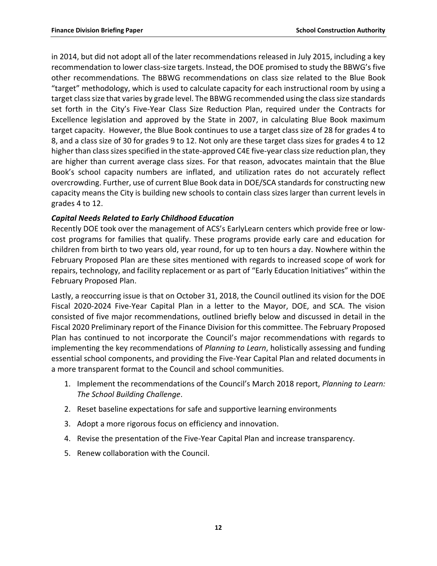in 2014, but did not adopt all of the later recommendations released in July 2015, including a key recommendation to lower class-size targets. Instead, the DOE promised to study the BBWG's five other recommendations. The BBWG recommendations on class size related to the Blue Book "target" methodology, which is used to calculate capacity for each instructional room by using a target class size that varies by grade level. The BBWG recommended using the class size standards set forth in the City's Five-Year Class Size Reduction Plan, required under the Contracts for Excellence legislation and approved by the State in 2007, in calculating Blue Book maximum target capacity. However, the Blue Book continues to use a target class size of 28 for grades 4 to 8, and a class size of 30 for grades 9 to 12. Not only are these target class sizes for grades 4 to 12 higher than class sizes specified in the state-approved C4E five-year class size reduction plan, they are higher than current average class sizes. For that reason, advocates maintain that the Blue Book's school capacity numbers are inflated, and utilization rates do not accurately reflect overcrowding. Further, use of current Blue Book data in DOE/SCA standards for constructing new capacity means the City is building new schools to contain class sizes larger than current levels in grades 4 to 12.

#### *Capital Needs Related to Early Childhood Education*

Recently DOE took over the management of ACS's EarlyLearn centers which provide free or lowcost programs for families that qualify. These programs provide early care and education for children from birth to two years old, year round, for up to ten hours a day. Nowhere within the February Proposed Plan are these sites mentioned with regards to increased scope of work for repairs, technology, and facility replacement or as part of "Early Education Initiatives" within the February Proposed Plan.

Lastly, a reoccurring issue is that on October 31, 2018, the Council outlined its vision for the DOE Fiscal 2020-2024 Five-Year Capital Plan in a letter to the Mayor, DOE, and SCA. The vision consisted of five major recommendations, outlined briefly below and discussed in detail in the Fiscal 2020 Preliminary report of the Finance Division for this committee. The February Proposed Plan has continued to not incorporate the Council's major recommendations with regards to implementing the key recommendations of *Planning to Learn*, holistically assessing and funding essential school components, and providing the Five-Year Capital Plan and related documents in a more transparent format to the Council and school communities.

- 1. Implement the recommendations of the Council's March 2018 report, *Planning to Learn: The School Building Challenge*.
- 2. Reset baseline expectations for safe and supportive learning environments
- 3. Adopt a more rigorous focus on efficiency and innovation.
- 4. Revise the presentation of the Five-Year Capital Plan and increase transparency.
- 5. Renew collaboration with the Council.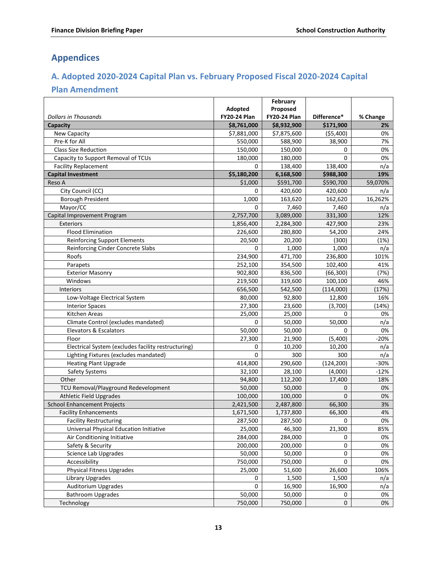# <span id="page-14-0"></span>**Appendices**

# <span id="page-14-1"></span>**A. Adopted 2020-2024 Capital Plan vs. February Proposed Fiscal 2020-2024 Capital**

# **Plan Amendment**

|                                                     | Adopted             | February<br>Proposed |                |             |
|-----------------------------------------------------|---------------------|----------------------|----------------|-------------|
| <b>Dollars in Thousands</b>                         | <b>FY20-24 Plan</b> | <b>FY20-24 Plan</b>  | Difference*    | % Change    |
| Capacity                                            | \$8,761,000         | \$8,932,900          | \$171,900      | 2%          |
| New Capacity                                        | \$7,881,000         | \$7,875,600          | ( \$5,400)     | 0%          |
| Pre-K for All                                       | 550,000             | 588,900              | 38,900         | 7%          |
| <b>Class Size Reduction</b>                         | 150,000             | 150,000              | 0              | 0%          |
| Capacity to Support Removal of TCUs                 | 180,000             | 180,000              | $\overline{0}$ | 0%          |
| <b>Facility Replacement</b>                         | 0                   | 138,400              | 138,400        | n/a         |
| <b>Capital Investment</b>                           | \$5,180,200         | 6,168,500            | \$988,300      | 19%         |
| Reso A                                              | \$1,000             | \$591,700            | \$590,700      | 59,070%     |
| City Council (CC)                                   | 0                   | 420,600              | 420,600        | n/a         |
| <b>Borough President</b>                            | 1,000               | 163,620              | 162,620        | 16,262%     |
| Mayor/CC                                            | 0                   | 7,460                | 7,460          | n/a         |
| Capital Improvement Program                         | 2,757,700           | 3,089,000            | 331,300        | 12%         |
| <b>Exteriors</b>                                    | 1,856,400           | 2,284,300            | 427,900        | 23%         |
| <b>Flood Elimination</b>                            | 226,600             | 280,800              | 54,200         | 24%         |
| <b>Reinforcing Support Elements</b>                 | 20,500              | 20,200               | (300)          | (1%)        |
| Reinforcing Cinder Concrete Slabs                   | 0                   | 1,000                | 1,000          |             |
| Roofs                                               | 234,900             | 471,700              | 236,800        | n/a<br>101% |
| Parapets                                            | 252,100             | 354,500              | 102,400        | 41%         |
| <b>Exterior Masonry</b>                             | 902,800             | 836,500              | (66, 300)      | (7%)        |
| Windows                                             | 219,500             | 319,600              | 100,100        | 46%         |
| Interiors                                           | 656,500             |                      |                | (17%)       |
|                                                     |                     | 542,500              | (114,000)      |             |
| Low-Voltage Electrical System                       | 80,000              | 92,800               | 12,800         | 16%         |
| <b>Interior Spaces</b>                              | 27,300              | 23,600               | (3,700)        | (14%)       |
| Kitchen Areas                                       | 25,000              | 25,000               | 0              | 0%          |
| Climate Control (excludes mandated)                 | 0                   | 50,000               | 50,000         | n/a         |
| Elevators & Escalators                              | 50,000              | 50,000               | 0              | 0%          |
| Floor                                               | 27,300              | 21,900               | (5,400)        | $-20%$      |
| Electrical System (excludes facility restructuring) | 0                   | 10,200               | 10,200         | n/a         |
| Lighting Fixtures (excludes mandated)               | $\overline{0}$      | 300                  | 300            | n/a         |
| <b>Heating Plant Upgrade</b>                        | 414,800             | 290,600              | (124, 200)     | $-30%$      |
| Safety Systems                                      | 32,100              | 28,100               | (4,000)        | $-12%$      |
| Other                                               | 94,800              | 112,200              | 17,400         | 18%         |
| TCU Removal/Playground Redevelopment                | 50,000              | 50,000               | 0              | 0%          |
| <b>Athletic Field Upgrades</b>                      | 100,000             | 100,000              | $\mathbf{0}$   | 0%          |
| <b>School Enhancement Projects</b>                  | 2,421,500           | 2,487,800            | 66,300         | 3%          |
| <b>Facility Enhancements</b>                        | 1,671,500           | 1,737,800            | 66,300         | 4%          |
| <b>Facility Restructuring</b>                       | 287,500             | 287,500              | U              | 0%          |
| Universal Physical Education Initiative             | 25,000              | 46,300               | 21,300         | 85%         |
| Air Conditioning Initiative                         | 284,000             | 284,000              | 0              | 0%          |
| Safety & Security                                   | 200,000             | 200,000              | $\pmb{0}$      | 0%          |
| <b>Science Lab Upgrades</b>                         | 50,000              | 50,000               | 0              | 0%          |
| Accessibility                                       | 750,000             | 750,000              | 0              | 0%          |
| <b>Physical Fitness Upgrades</b>                    | 25,000              | 51,600               | 26,600         | 106%        |
| Library Upgrades                                    | 0                   | 1,500                | 1,500          | n/a         |
| <b>Auditorium Upgrades</b>                          | 0                   | 16,900               | 16,900         | n/a         |
| <b>Bathroom Upgrades</b>                            | 50,000              | 50,000               | 0              | 0%          |
| Technology                                          | 750,000             | 750,000              | 0              | 0%          |